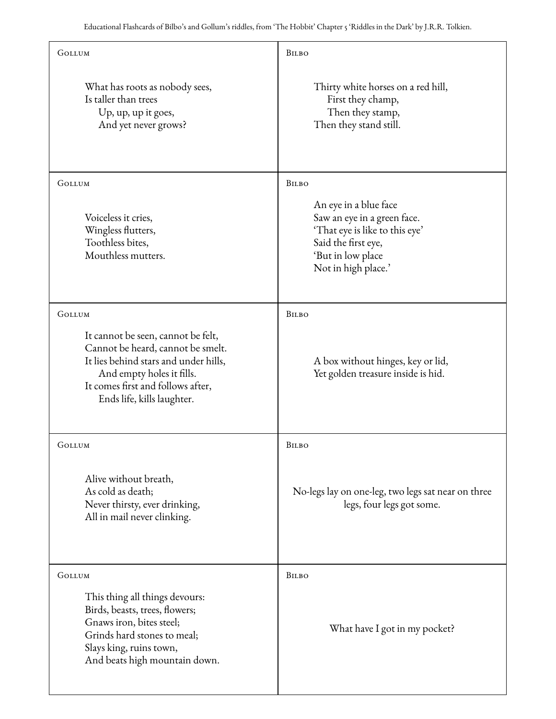| GOLLUM                                                                                                                                                                                                           | BILBO                                                                                                                                                     |
|------------------------------------------------------------------------------------------------------------------------------------------------------------------------------------------------------------------|-----------------------------------------------------------------------------------------------------------------------------------------------------------|
| What has roots as nobody sees,<br>Is taller than trees<br>Up, up, up it goes,<br>And yet never grows?                                                                                                            | Thirty white horses on a red hill,<br>First they champ,<br>Then they stamp,<br>Then they stand still.                                                     |
| GOLLUM                                                                                                                                                                                                           | <b>BILBO</b>                                                                                                                                              |
| Voiceless it cries,<br>Wingless flutters,<br>Toothless bites,<br>Mouthless mutters.                                                                                                                              | An eye in a blue face<br>Saw an eye in a green face.<br>'That eye is like to this eye'<br>Said the first eye,<br>'But in low place<br>Not in high place.' |
| GOLLUM                                                                                                                                                                                                           | <b>BILBO</b>                                                                                                                                              |
| It cannot be seen, cannot be felt,<br>Cannot be heard, cannot be smelt.<br>It lies behind stars and under hills,<br>And empty holes it fills.<br>It comes first and follows after,<br>Ends life, kills laughter. | A box without hinges, key or lid,<br>Yet golden treasure inside is hid.                                                                                   |
| GOLLUM                                                                                                                                                                                                           | <b>BILBO</b>                                                                                                                                              |
| Alive without breath,<br>As cold as death;<br>Never thirsty, ever drinking,<br>All in mail never clinking.                                                                                                       | No-legs lay on one-leg, two legs sat near on three<br>legs, four legs got some.                                                                           |
| GOLLUM                                                                                                                                                                                                           | <b>BILBO</b>                                                                                                                                              |
| This thing all things devours:<br>Birds, beasts, trees, flowers;<br>Gnaws iron, bites steel;<br>Grinds hard stones to meal;<br>Slays king, ruins town,<br>And beats high mountain down.                          | What have I got in my pocket?                                                                                                                             |